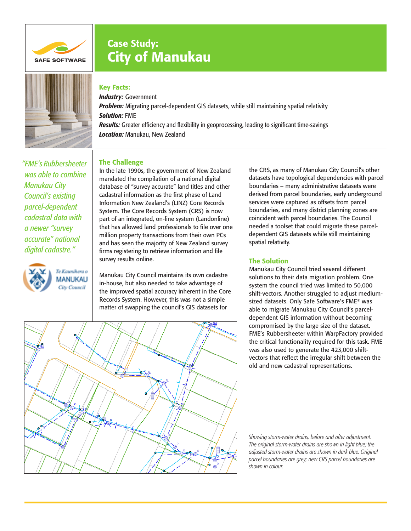

# Case Study: City of Manukau



# Key Facts:

*Industry:* Government *Problem:* Migrating parcel-dependent GIS datasets, while still maintaining spatial relativity *Solution:* FME *Results:* Greater efficiency and flexibility in geoprocessing, leading to significant time-savings *Location:* Manukau, New Zealand

## The Challenge

*"FME's Rubbersheeter was able to combine Manukau City Council's existing parcel-dependent cadastral data with a newer "survey accurate" national digital cadastre."*



In the late 1990s, the government of New Zealand mandated the compilation of a national digital database of "survey accurate" land titles and other cadastral information as the first phase of Land Information New Zealand's (LINZ) Core Records System. The Core Records System (CRS) is now part of an integrated, on-line system (Landonline) that has allowed land professionals to file over one million property transactions from their own PCs and has seen the majority of New Zealand survey firms registering to retrieve information and file survey results online.

Manukau City Council maintains its own cadastre in-house, but also needed to take advantage of the improved spatial accuracy inherent in the Core Records System. However, this was not a simple matter of swapping the council's GIS datasets for

the CRS, as many of Manukau City Council's other datasets have topological dependencies with parcel boundaries – many administrative datasets were derived from parcel boundaries, early underground services were captured as offsets from parcel boundaries, and many district planning zones are coincident with parcel boundaries. The Council needed a toolset that could migrate these parceldependent GIS datasets while still maintaining spatial relativity.

## The Solution

Manukau City Council tried several different solutions to their data migration problem. One system the council tried was limited to 50,000 shift-vectors. Another struggled to adjust mediumsized datasets. Only Safe Software's FME® was able to migrate Manukau City Council's parceldependent GIS information without becoming compromised by the large size of the dataset. FME's Rubbersheeter within WarpFactory provided the critical functionality required for this task. FME was also used to generate the 423,000 shiftvectors that reflect the irregular shift between the old and new cadastral representations.



*Showing storm-water drains, before and after adjustment. The original storm-water drains are shown in light blue; the adjusted storm-water drains are shown in dark blue. Original parcel boundaries are grey; new CRS parcel boundaries are shown in colour.*